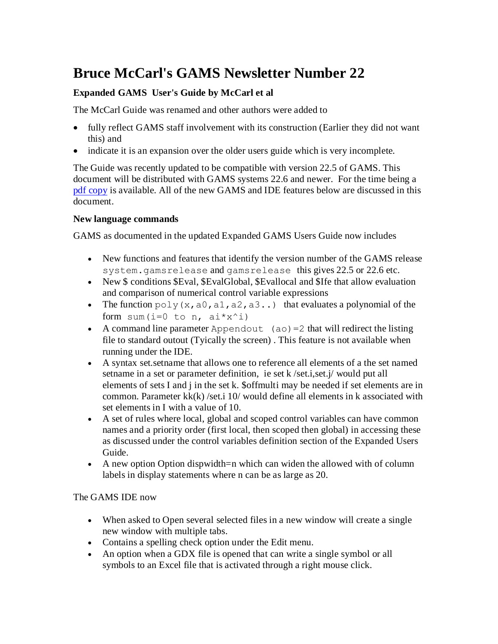# **Bruce McCarl's GAMS Newsletter Number 22**

# **Expanded GAMS User's Guide by McCarl et al**

The McCarl Guide was renamed and other authors were added to

- fully reflect GAMS staff involvement with its construction (Earlier they did not want this) and
- indicate it is an expansion over the older users guide which is very incomplete.

The Guide was recently updated to be compatible with version 22.5 of GAMS. This document will be distributed with GAMS systems 22.6 and newer. For the time being a [pdf copy](http://www.gams.com/dd/docs/bigdocs/gams2002/mccarlgamsuserguide.pdf) is available. All of the new GAMS and IDE features below are discussed in this document.

#### **New language commands**

GAMS as documented in the updated Expanded GAMS Users Guide now includes

- New functions and features that identify the version number of the GAMS release system.gamsrelease and gamsrelease this gives 22.5 or 22.6 etc.
- New \$ conditions \$Eval, \$EvalGlobal, \$Evallocal and \$Ife that allow evaluation and comparison of numerical control variable expressions
- The function  $poly(x, a_0, a_1, a_2, a_3...)$  that evaluates a polynomial of the form sum(i=0 to n,  $a i * x^i$ )
- A command line parameter Appendout  $(ao)=2$  that will redirect the listing file to standard outout (Tyically the screen) . This feature is not available when running under the IDE.
- A syntax set.setname that allows one to reference all elements of a the set named setname in a set or parameter definition, ie set k /set.i,set.j/ would put all elements of sets I and j in the set k. \$offmulti may be needed if set elements are in common. Parameter  $kk(k)$ /set.i 10/ would define all elements in k associated with set elements in I with a value of 10.
- A set of rules where local, global and scoped control variables can have common names and a priority order (first local, then scoped then global) in accessing these as discussed under the control variables definition section of the Expanded Users Guide.
- A new option Option dispwidth=n which can widen the allowed with of column labels in display statements where n can be as large as 20.

## The GAMS IDE now

- When asked to Open several selected files in a new window will create a single new window with multiple tabs.
- Contains a spelling check option under the Edit menu.
- An option when a GDX file is opened that can write a single symbol or all symbols to an Excel file that is activated through a right mouse click.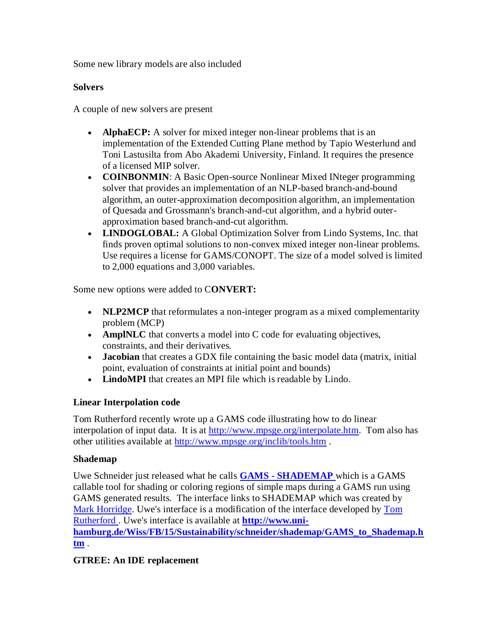Some new library models are also included

## **Solvers**

A couple of new solvers are present

- **AlphaECP:** A solver for mixed integer non-linear problems that is an implementation of the Extended Cutting Plane method by Tapio Westerlund and Toni Lastusilta from Abo Akademi University, Finland. It requires the presence of a licensed MIP solver.
- **COINBONMIN:** A Basic Open-source Nonlinear Mixed INteger programming solver that provides an implementation of an NLP-based branch-and-bound algorithm, an outer-approximation decomposition algorithm, an implementation of Quesada and Grossmann's branch-and-cut algorithm, and a hybrid outerapproximation based branch-and-cut algorithm.
- **LINDOGLOBAL:** A Global Optimization Solver from Lindo Systems, Inc. that finds proven optimal solutions to non-convex mixed integer non-linear problems. Use requires a license for GAMS/CONOPT. The size of a model solved is limited to 2,000 equations and 3,000 variables.

Some new options were added to C**ONVERT:**

- **NLP2MCP** that reformulates a non-integer program as a mixed complementarity problem (MCP)
- **AmplNLC** that converts a model into C code for evaluating objectives, constraints, and their derivatives.
- **Jacobian** that creates a GDX file containing the basic model data (matrix, initial point, evaluation of constraints at initial point and bounds)
- **LindoMPI** that creates an MPI file which is readable by Lindo.

# **Linear Interpolation code**

Tom Rutherford recently wrote up a GAMS code illustrating how to do linear interpolation of input data. It is at [http://www.mpsge.org/interpolate.htm.](http://www.mpsge.org/interpolate.htm) Tom also has other utilities available at<http://www.mpsge.org/inclib/tools.htm> .

## **Shademap**

Uwe Schneider just released what he calls **GAMS - [SHADEMAP](http://www.uni-hamburg.de/Wiss/FB/15/Sustainability/schneider/shademap/GAMS_to_Shademap.htm)** which is a GAMS callable tool for shading or coloring regions of simple maps during a GAMS run using GAMS generated results. The interface links to SHADEMAP which was created by [Mark Horridge.](http://www.monash.edu.au/policy/jmh.htm) Uwe's interface is a modification of the interface developed by [Tom](http://www.gamsworld.org/mpsge/debreu/shademap/index.html)  [Rutherford .](http://www.gamsworld.org/mpsge/debreu/shademap/index.html) Uwe's interface is available at **[http://www.uni-](http://www.uni-hamburg.de/Wiss/FB/15/Sustainability/schneider/shademap/GAMS_to_Shademap.htm)**

**[hamburg.de/Wiss/FB/15/Sustainability/schneider/shademap/GAMS\\_to\\_Shademap.h](http://www.uni-hamburg.de/Wiss/FB/15/Sustainability/schneider/shademap/GAMS_to_Shademap.htm) [tm](http://www.uni-hamburg.de/Wiss/FB/15/Sustainability/schneider/shademap/GAMS_to_Shademap.htm)** .

# **GTREE: An IDE replacement**